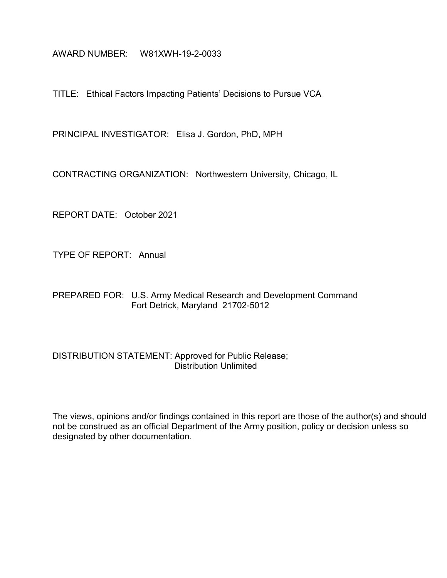AWARD NUMBER: W81XWH-19-2-0033

TITLE: Ethical Factors Impacting Patients' Decisions to Pursue VCA

PRINCIPAL INVESTIGATOR: Elisa J. Gordon, PhD, MPH

CONTRACTING ORGANIZATION: Northwestern University, Chicago, IL

REPORT DATE: October 2021

TYPE OF REPORT: Annual

PREPARED FOR: U.S. Army Medical Research and Development Command Fort Detrick, Maryland 21702-5012

### DISTRIBUTION STATEMENT: Approved for Public Release; Distribution Unlimited

The views, opinions and/or findings contained in this report are those of the author(s) and should not be construed as an official Department of the Army position, policy or decision unless so designated by other documentation.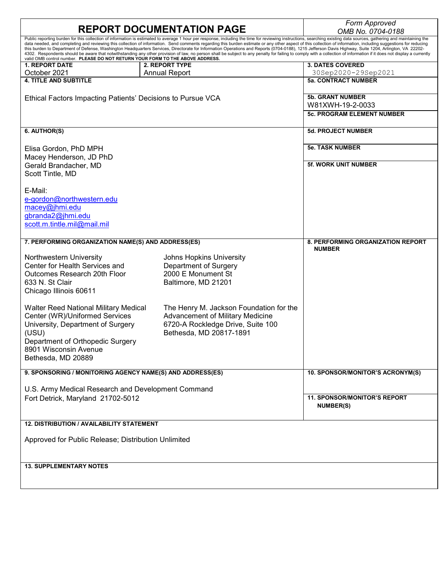| <b>REPORT DOCUMENTATION PAGE</b>                                               | Form Approved                                                                                                                                                                                                                                                                                                                                                                                                                    |                                   |  |  |  |
|--------------------------------------------------------------------------------|----------------------------------------------------------------------------------------------------------------------------------------------------------------------------------------------------------------------------------------------------------------------------------------------------------------------------------------------------------------------------------------------------------------------------------|-----------------------------------|--|--|--|
|                                                                                | OMB No. 0704-0188<br>Public reporting burden for this collection of information is estimated to average 1 hour per response, including the time for reviewing instructions, searching existing data sources, gathering and maintaining the                                                                                                                                                                                       |                                   |  |  |  |
|                                                                                | data needed, and completing and reviewing this collection of information. Send comments regarding this burden estimate or any other aspect of this collection of information, including suggestions for reducing                                                                                                                                                                                                                 |                                   |  |  |  |
|                                                                                | this burden to Department of Defense, Washington Headquarters Services, Directorate for Information Operations and Reports (0704-0188), 1215 Jefferson Davis Highway, Suite 1204, Arlington, VA 22202-<br>4302. Respondents should be aware that notwithstanding any other provision of law, no person shall be subject to any penalty for failing to comply with a collection of information if it does not display a currently |                                   |  |  |  |
| valid OMB control number. PLEASE DO NOT RETURN YOUR FORM TO THE ABOVE ADDRESS. |                                                                                                                                                                                                                                                                                                                                                                                                                                  |                                   |  |  |  |
| <b>1. REPORT DATE</b>                                                          | 2. REPORT TYPE                                                                                                                                                                                                                                                                                                                                                                                                                   | <b>3. DATES COVERED</b>           |  |  |  |
| October 2021                                                                   | <b>Annual Report</b>                                                                                                                                                                                                                                                                                                                                                                                                             | 30Sep2020-29Sep2021               |  |  |  |
| <b>4. TITLE AND SUBTITLE</b>                                                   |                                                                                                                                                                                                                                                                                                                                                                                                                                  | <b>5a. CONTRACT NUMBER</b>        |  |  |  |
|                                                                                |                                                                                                                                                                                                                                                                                                                                                                                                                                  |                                   |  |  |  |
| Ethical Factors Impacting Patients' Decisions to Pursue VCA                    |                                                                                                                                                                                                                                                                                                                                                                                                                                  | <b>5b. GRANT NUMBER</b>           |  |  |  |
|                                                                                |                                                                                                                                                                                                                                                                                                                                                                                                                                  | W81XWH-19-2-0033                  |  |  |  |
|                                                                                |                                                                                                                                                                                                                                                                                                                                                                                                                                  | <b>5c. PROGRAM ELEMENT NUMBER</b> |  |  |  |
|                                                                                |                                                                                                                                                                                                                                                                                                                                                                                                                                  |                                   |  |  |  |
| 6. AUTHOR(S)                                                                   |                                                                                                                                                                                                                                                                                                                                                                                                                                  | <b>5d. PROJECT NUMBER</b>         |  |  |  |
|                                                                                |                                                                                                                                                                                                                                                                                                                                                                                                                                  |                                   |  |  |  |
| Elisa Gordon, PhD MPH                                                          |                                                                                                                                                                                                                                                                                                                                                                                                                                  | <b>5e. TASK NUMBER</b>            |  |  |  |
| Macey Henderson, JD PhD                                                        |                                                                                                                                                                                                                                                                                                                                                                                                                                  |                                   |  |  |  |
| Gerald Brandacher, MD                                                          |                                                                                                                                                                                                                                                                                                                                                                                                                                  | <b>5f. WORK UNIT NUMBER</b>       |  |  |  |
| Scott Tintle, MD                                                               |                                                                                                                                                                                                                                                                                                                                                                                                                                  |                                   |  |  |  |
|                                                                                |                                                                                                                                                                                                                                                                                                                                                                                                                                  |                                   |  |  |  |
| E-Mail:                                                                        |                                                                                                                                                                                                                                                                                                                                                                                                                                  |                                   |  |  |  |
| e-gordon@northwestern.edu                                                      |                                                                                                                                                                                                                                                                                                                                                                                                                                  |                                   |  |  |  |
| macey@jhmi.edu                                                                 |                                                                                                                                                                                                                                                                                                                                                                                                                                  |                                   |  |  |  |
| gbranda2@jhmi.edu                                                              |                                                                                                                                                                                                                                                                                                                                                                                                                                  |                                   |  |  |  |
| scott.m.tintle.mil@mail.mil                                                    |                                                                                                                                                                                                                                                                                                                                                                                                                                  |                                   |  |  |  |
|                                                                                |                                                                                                                                                                                                                                                                                                                                                                                                                                  |                                   |  |  |  |
| 7. PERFORMING ORGANIZATION NAME(S) AND ADDRESS(ES)                             |                                                                                                                                                                                                                                                                                                                                                                                                                                  | 8. PERFORMING ORGANIZATION REPORT |  |  |  |
|                                                                                |                                                                                                                                                                                                                                                                                                                                                                                                                                  | <b>NUMBER</b>                     |  |  |  |
| Northwestern University                                                        | Johns Hopkins University                                                                                                                                                                                                                                                                                                                                                                                                         |                                   |  |  |  |
| Center for Health Services and                                                 | Department of Surgery                                                                                                                                                                                                                                                                                                                                                                                                            |                                   |  |  |  |
| Outcomes Research 20th Floor                                                   | 2000 E Monument St                                                                                                                                                                                                                                                                                                                                                                                                               |                                   |  |  |  |
| 633 N. St Clair                                                                | Baltimore, MD 21201                                                                                                                                                                                                                                                                                                                                                                                                              |                                   |  |  |  |
| Chicago Illinois 60611                                                         |                                                                                                                                                                                                                                                                                                                                                                                                                                  |                                   |  |  |  |
|                                                                                |                                                                                                                                                                                                                                                                                                                                                                                                                                  |                                   |  |  |  |
|                                                                                |                                                                                                                                                                                                                                                                                                                                                                                                                                  |                                   |  |  |  |
| <b>Walter Reed National Military Medical</b>                                   | The Henry M. Jackson Foundation for the                                                                                                                                                                                                                                                                                                                                                                                          |                                   |  |  |  |
| Center (WR)/Uniformed Services                                                 | Advancement of Military Medicine                                                                                                                                                                                                                                                                                                                                                                                                 |                                   |  |  |  |
| University, Department of Surgery                                              | 6720-A Rockledge Drive, Suite 100                                                                                                                                                                                                                                                                                                                                                                                                |                                   |  |  |  |
| (USU)                                                                          | Bethesda, MD 20817-1891                                                                                                                                                                                                                                                                                                                                                                                                          |                                   |  |  |  |
| Department of Orthopedic Surgery                                               |                                                                                                                                                                                                                                                                                                                                                                                                                                  |                                   |  |  |  |
| 8901 Wisconsin Avenue                                                          |                                                                                                                                                                                                                                                                                                                                                                                                                                  |                                   |  |  |  |
| Bethesda, MD 20889                                                             |                                                                                                                                                                                                                                                                                                                                                                                                                                  |                                   |  |  |  |
| 9. SPONSORING / MONITORING AGENCY NAME(S) AND ADDRESS(ES)                      |                                                                                                                                                                                                                                                                                                                                                                                                                                  | 10. SPONSOR/MONITOR'S ACRONYM(S)  |  |  |  |
|                                                                                |                                                                                                                                                                                                                                                                                                                                                                                                                                  |                                   |  |  |  |
| U.S. Army Medical Research and Development Command                             |                                                                                                                                                                                                                                                                                                                                                                                                                                  |                                   |  |  |  |
|                                                                                | <b>11. SPONSOR/MONITOR'S REPORT</b>                                                                                                                                                                                                                                                                                                                                                                                              |                                   |  |  |  |
| Fort Detrick, Maryland 21702-5012                                              |                                                                                                                                                                                                                                                                                                                                                                                                                                  |                                   |  |  |  |
|                                                                                |                                                                                                                                                                                                                                                                                                                                                                                                                                  | <b>NUMBER(S)</b>                  |  |  |  |
|                                                                                |                                                                                                                                                                                                                                                                                                                                                                                                                                  |                                   |  |  |  |
| 12. DISTRIBUTION / AVAILABILITY STATEMENT                                      |                                                                                                                                                                                                                                                                                                                                                                                                                                  |                                   |  |  |  |
|                                                                                |                                                                                                                                                                                                                                                                                                                                                                                                                                  |                                   |  |  |  |
| Approved for Public Release; Distribution Unlimited                            |                                                                                                                                                                                                                                                                                                                                                                                                                                  |                                   |  |  |  |
|                                                                                |                                                                                                                                                                                                                                                                                                                                                                                                                                  |                                   |  |  |  |
|                                                                                |                                                                                                                                                                                                                                                                                                                                                                                                                                  |                                   |  |  |  |
| <b>13. SUPPLEMENTARY NOTES</b>                                                 |                                                                                                                                                                                                                                                                                                                                                                                                                                  |                                   |  |  |  |
|                                                                                |                                                                                                                                                                                                                                                                                                                                                                                                                                  |                                   |  |  |  |
|                                                                                |                                                                                                                                                                                                                                                                                                                                                                                                                                  |                                   |  |  |  |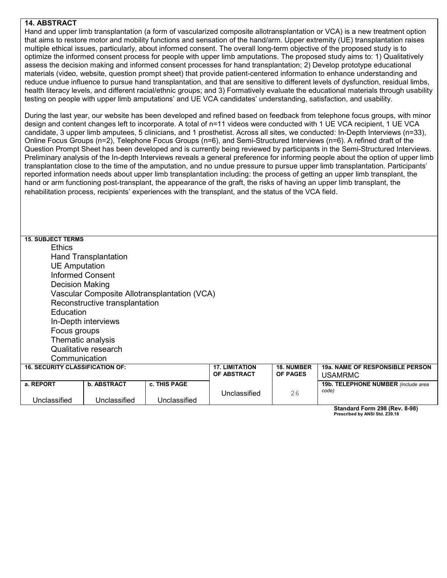#### **14. ABSTRACT**

Hand and upper limb transplantation (a form of vascularized composite allotransplantation or VCA) is a new treatment option that aims to restore motor and mobility functions and sensation of the hand/arm. Upper extremity (UE) transplantation raises multiple ethical issues, particularly, about informed consent. The overall long-term objective of the proposed study is to optimize the informed consent process for people with upper limb amputations. The proposed study aims to: 1) Qualitatively assess the decision making and informed consent processes for hand transplantation; 2) Develop prototype educational materials (video, website, question prompt sheet) that provide patient-centered information to enhance understanding and reduce undue influence to pursue hand transplantation, and that are sensitive to different levels of dysfunction, residual limbs, health literacy levels, and different racial/ethnic groups; and 3) Formatively evaluate the educational materials through usability testing on people with upper limb amputations' and UE VCA candidates' understanding, satisfaction, and usability.

During the last year, our website has been developed and refined based on feedback from telephone focus groups, with minor design and content changes left to incorporate. A total of n=11 videos were conducted with 1 UE VCA recipient, 1 UE VCA candidate, 3 upper limb amputees, 5 clinicians, and 1 prosthetist. Across all sites, we conducted: In-Depth Interviews (n=33), Online Focus Groups (n=2), Telephone Focus Groups (n=6), and Semi-Structured Interviews (n=6). A refined draft of the Question Prompt Sheet has been developed and is currently being reviewed by participants in the Semi-Structured Interviews. Preliminary analysis of the In-depth Interviews reveals a general preference for informing people about the option of upper limb transplantation close to the time of the amputation, and no undue pressure to pursue upper limb transplantation. Participants' reported information needs about upper limb transplantation including: the process of getting an upper limb transplant, the hand or arm functioning post-transplant, the appearance of the graft, the risks of having an upper limb transplant, the rehabilitation process, recipients' experiences with the transplant, and the status of the VCA field.

| <b>15. SUBJECT TERMS</b>                     |                         |              |                       |                   |                                     |  |  |  |
|----------------------------------------------|-------------------------|--------------|-----------------------|-------------------|-------------------------------------|--|--|--|
| <b>Ethics</b>                                |                         |              |                       |                   |                                     |  |  |  |
| <b>Hand Transplantation</b>                  |                         |              |                       |                   |                                     |  |  |  |
| <b>UE Amputation</b>                         |                         |              |                       |                   |                                     |  |  |  |
|                                              | <b>Informed Consent</b> |              |                       |                   |                                     |  |  |  |
| <b>Decision Making</b>                       |                         |              |                       |                   |                                     |  |  |  |
| Vascular Composite Allotransplantation (VCA) |                         |              |                       |                   |                                     |  |  |  |
| Reconstructive transplantation               |                         |              |                       |                   |                                     |  |  |  |
| Education                                    |                         |              |                       |                   |                                     |  |  |  |
| In-Depth interviews                          |                         |              |                       |                   |                                     |  |  |  |
| Focus groups                                 |                         |              |                       |                   |                                     |  |  |  |
| Thematic analysis                            |                         |              |                       |                   |                                     |  |  |  |
| Qualitative research                         |                         |              |                       |                   |                                     |  |  |  |
| Communication                                |                         |              |                       |                   |                                     |  |  |  |
| <b>16. SECURITY CLASSIFICATION OF:</b>       |                         |              | <b>17. LIMITATION</b> | <b>18. NUMBER</b> | 19a. NAME OF RESPONSIBLE PERSON     |  |  |  |
|                                              |                         |              | OF ABSTRACT           | <b>OF PAGES</b>   | <b>USAMRMC</b>                      |  |  |  |
| a. REPORT                                    | <b>b. ABSTRACT</b>      | c. THIS PAGE |                       |                   | 19b. TELEPHONE NUMBER (include area |  |  |  |
| Unclassified                                 | Unclassified            | Unclassified | Unclassified          | 26                | code)                               |  |  |  |

**Standard Form 298 (Rev. 8-98) Prescribed by ANSI Std. Z39.18**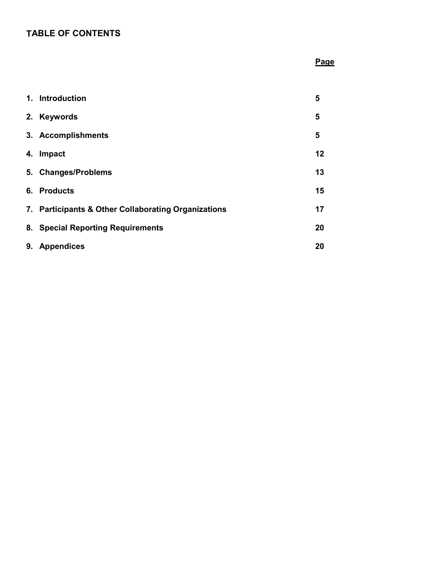# **TABLE OF CONTENTS**

# **Page**

|    | 1. Introduction                                     | 5  |
|----|-----------------------------------------------------|----|
| 2. | <b>Keywords</b>                                     | 5  |
|    | 3. Accomplishments                                  | 5  |
| 4. | Impact                                              | 12 |
|    | 5. Changes/Problems                                 | 13 |
|    | 6. Products                                         | 15 |
|    | 7. Participants & Other Collaborating Organizations | 17 |
|    | 8. Special Reporting Requirements                   | 20 |
| 9. | <b>Appendices</b>                                   | 20 |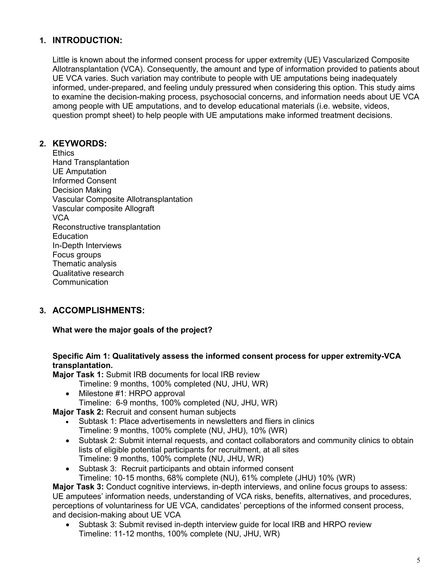# **1. INTRODUCTION:**

Little is known about the informed consent process for upper extremity (UE) Vascularized Composite Allotransplantation (VCA). Consequently, the amount and type of information provided to patients about UE VCA varies. Such variation may contribute to people with UE amputations being inadequately informed, under-prepared, and feeling unduly pressured when considering this option. This study aims to examine the decision-making process, psychosocial concerns, and information needs about UE VCA among people with UE amputations, and to develop educational materials (i.e. website, videos, question prompt sheet) to help people with UE amputations make informed treatment decisions.

## **2. KEYWORDS:**

**Ethics** Hand Transplantation UE Amputation Informed Consent Decision Making Vascular Composite Allotransplantation Vascular composite Allograft **VCA** Reconstructive transplantation **Education** In-Depth Interviews Focus groups Thematic analysis Qualitative research Communication

# **3. ACCOMPLISHMENTS:**

#### **What were the major goals of the project?**

#### **Specific Aim 1: Qualitatively assess the informed consent process for upper extremity-VCA transplantation.**

**Major Task 1:** Submit IRB documents for local IRB review

- Timeline: 9 months, 100% completed (NU, JHU, WR)
- Milestone #1: HRPO approval Timeline: 6-9 months, 100% completed (NU, JHU, WR)

**Major Task 2:** Recruit and consent human subjects

- Subtask 1: Place advertisements in newsletters and fliers in clinics Timeline: 9 months, 100% complete (NU, JHU), 10% (WR)
- Subtask 2: Submit internal requests, and contact collaborators and community clinics to obtain lists of eligible potential participants for recruitment, at all sites Timeline: 9 months, 100% complete (NU, JHU, WR)
- Subtask 3: Recruit participants and obtain informed consent Timeline: 10-15 months, 68% complete (NU), 61% complete (JHU) 10% (WR)

**Major Task 3:** Conduct cognitive interviews, in-depth interviews, and online focus groups to assess: UE amputees' information needs, understanding of VCA risks, benefits, alternatives, and procedures, perceptions of voluntariness for UE VCA, candidates' perceptions of the informed consent process, and decision-making about UE VCA

• Subtask 3: Submit revised in-depth interview guide for local IRB and HRPO review Timeline: 11-12 months, 100% complete (NU, JHU, WR)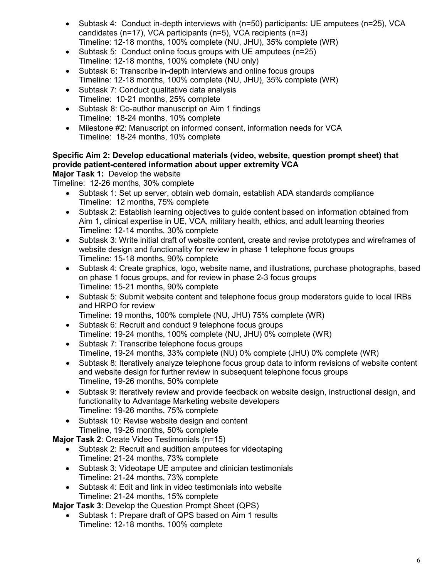- Subtask 4: Conduct in-depth interviews with (n=50) participants: UE amputees (n=25), VCA candidates (n=17), VCA participants (n=5), VCA recipients (n=3) Timeline: 12-18 months, 100% complete (NU, JHU), 35% complete (WR)
- Subtask 5: Conduct online focus groups with UE amputees (n=25) Timeline: 12-18 months, 100% complete (NU only)
- Subtask 6: Transcribe in-depth interviews and online focus groups Timeline: 12-18 months, 100% complete (NU, JHU), 35% complete (WR)
- Subtask 7: Conduct qualitative data analysis Timeline: 10-21 months, 25% complete
- Subtask 8: Co-author manuscript on Aim 1 findings Timeline: 18-24 months, 10% complete
- Milestone #2: Manuscript on informed consent, information needs for VCA Timeline: 18-24 months, 10% complete

# **Specific Aim 2: Develop educational materials (video, website, question prompt sheet) that provide patient-centered information about upper extremity VCA**

# **Major Task 1:** Develop the website

Timeline: 12-26 months, 30% complete

- Subtask 1: Set up server, obtain web domain, establish ADA standards compliance Timeline: 12 months, 75% complete
- Subtask 2: Establish learning objectives to guide content based on information obtained from Aim 1, clinical expertise in UE, VCA, military health, ethics, and adult learning theories Timeline: 12-14 months, 30% complete
- Subtask 3: Write initial draft of website content, create and revise prototypes and wireframes of website design and functionality for review in phase 1 telephone focus groups Timeline: 15-18 months, 90% complete
- Subtask 4: Create graphics, logo, website name, and illustrations, purchase photographs, based on phase 1 focus groups, and for review in phase 2-3 focus groups Timeline: 15-21 months, 90% complete
- Subtask 5: Submit website content and telephone focus group moderators guide to local IRBs and HRPO for review

Timeline: 19 months, 100% complete (NU, JHU) 75% complete (WR)

- Subtask 6: Recruit and conduct 9 telephone focus groups Timeline: 19-24 months, 100% complete (NU, JHU) 0% complete (WR)
- Subtask 7: Transcribe telephone focus groups Timeline, 19-24 months, 33% complete (NU) 0% complete (JHU) 0% complete (WR)
- Subtask 8: Iteratively analyze telephone focus group data to inform revisions of website content and website design for further review in subsequent telephone focus groups Timeline, 19-26 months, 50% complete
- Subtask 9: Iteratively review and provide feedback on website design, instructional design, and functionality to Advantage Marketing website developers Timeline: 19-26 months, 75% complete
- Subtask 10: Revise website design and content Timeline, 19-26 months, 50% complete

**Major Task 2**: Create Video Testimonials (n=15)

- Subtask 2: Recruit and audition amputees for videotaping Timeline: 21-24 months, 73% complete
- Subtask 3: Videotape UE amputee and clinician testimonials Timeline: 21-24 months, 73% complete
- Subtask 4: Edit and link in video testimonials into website Timeline: 21-24 months, 15% complete

**Major Task 3**: Develop the Question Prompt Sheet (QPS)

• Subtask 1: Prepare draft of QPS based on Aim 1 results Timeline: 12-18 months, 100% complete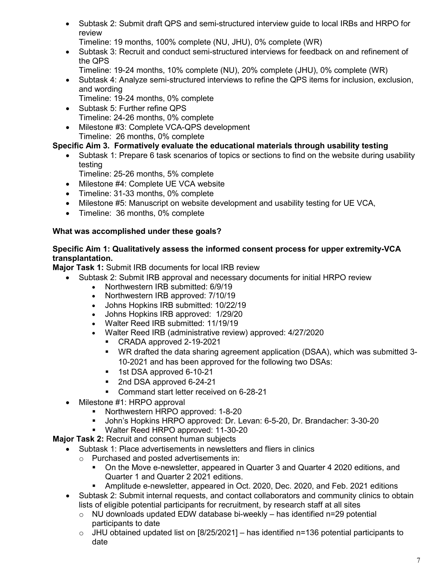• Subtask 2: Submit draft QPS and semi-structured interview guide to local IRBs and HRPO for review

Timeline: 19 months, 100% complete (NU, JHU), 0% complete (WR)

- Subtask 3: Recruit and conduct semi-structured interviews for feedback on and refinement of the QPS
	- Timeline: 19-24 months, 10% complete (NU), 20% complete (JHU), 0% complete (WR)
- Subtask 4: Analyze semi-structured interviews to refine the QPS items for inclusion, exclusion, and wording
	- Timeline: 19-24 months, 0% complete
- Subtask 5: Further refine QPS Timeline: 24-26 months, 0% complete
- Milestone #3: Complete VCA-QPS development Timeline: 26 months, 0% complete

# **Specific Aim 3. Formatively evaluate the educational materials through usability testing**

- Subtask 1: Prepare 6 task scenarios of topics or sections to find on the website during usability testing
	- Timeline: 25-26 months, 5% complete
- Milestone #4: Complete UE VCA website
- Timeline: 31-33 months, 0% complete
- Milestone #5: Manuscript on website development and usability testing for UE VCA,
- Timeline: 36 months, 0% complete

# **What was accomplished under these goals?**

### **Specific Aim 1: Qualitatively assess the informed consent process for upper extremity-VCA transplantation.**

**Major Task 1:** Submit IRB documents for local IRB review

- Subtask 2: Submit IRB approval and necessary documents for initial HRPO review
	- Northwestern IRB submitted: 6/9/19<br>• Northwestern IRB approved: 7/10/19
	- Northwestern IRB approved: 7/10/19
	- Johns Hopkins IRB submitted: 10/22/19
	- Johns Hopkins IRB approved: 1/29/20
	- Walter Reed IRB submitted: 11/19/19
	- Walter Reed IRB (administrative review) approved: 4/27/2020
		- CRADA approved 2-19-2021
		- WR drafted the data sharing agreement application (DSAA), which was submitted 3- 10-2021 and has been approved for the following two DSAs:
		- **1** 1st DSA approved 6-10-21
		- 2nd DSA approved 6-24-21
		- **Command start letter received on 6-28-21**
- Milestone #1: HRPO approval
	- **Northwestern HRPO approved: 1-8-20**
	- John's Hopkins HRPO approved: Dr. Levan: 6-5-20, Dr. Brandacher: 3-30-20
	- **Walter Reed HRPO approved: 11-30-20**

# **Major Task 2:** Recruit and consent human subjects

- Subtask 1: Place advertisements in newsletters and fliers in clinics
	- o Purchased and posted advertisements in:
		- On the Move e-newsletter, appeared in Quarter 3 and Quarter 4 2020 editions, and Quarter 1 and Quarter 2 2021 editions.
		- Amplitude e-newsletter, appeared in Oct. 2020, Dec. 2020, and Feb. 2021 editions
- Subtask 2: Submit internal requests, and contact collaborators and community clinics to obtain lists of eligible potential participants for recruitment, by research staff at all sites
	- o NU downloads updated EDW database bi-weekly has identified n=29 potential participants to date
	- $\circ$  JHU obtained updated list on [8/25/2021] has identified n=136 potential participants to date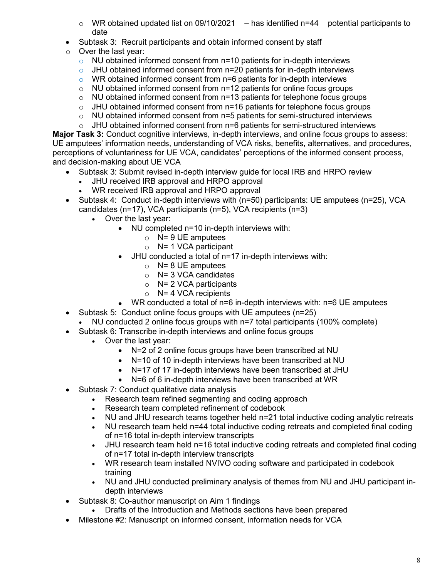- $\circ$  WR obtained updated list on 09/10/2021 has identified n=44 potential participants to date
- Subtask 3: Recruit participants and obtain informed consent by staff
- o Over the last year:
	- $\circ$  NU obtained informed consent from n=10 patients for in-depth interviews
	- $\circ$  JHU obtained informed consent from n=20 patients for in-depth interviews
	- o WR obtained informed consent from n=6 patients for in-depth interviews
	- o NU obtained informed consent from n=12 patients for online focus groups
	- $\circ$  NU obtained informed consent from n=13 patients for telephone focus groups
	- $\circ$  JHU obtained informed consent from n=16 patients for telephone focus groups
	- $\circ$  NU obtained informed consent from  $n=5$  patients for semi-structured interviews
	- $\circ$  JHU obtained informed consent from n=6 patients for semi-structured interviews

**Major Task 3:** Conduct cognitive interviews, in-depth interviews, and online focus groups to assess: UE amputees' information needs, understanding of VCA risks, benefits, alternatives, and procedures, perceptions of voluntariness for UE VCA, candidates' perceptions of the informed consent process, and decision-making about UE VCA

- Subtask 3: Submit revised in-depth interview guide for local IRB and HRPO review
	- JHU received IRB approval and HRPO approval
	- WR received IRB approval and HRPO approval
- Subtask 4: Conduct in-depth interviews with (n=50) participants: UE amputees (n=25), VCA candidates (n=17), VCA participants (n=5), VCA recipients (n=3)
	- Over the last year:
		- NU completed n=10 in-depth interviews with:
			- $\circ$  N= 9 UE amputees
				- $\circ$  N= 1 VCA participant
		- JHU conducted a total of n=17 in-depth interviews with:
			- $\circ$  N= 8 UE amputees
			- $\circ$  N= 3 VCA candidates
			- $\circ$  N= 2 VCA participants
			- $\circ$  N= 4 VCA recipients
		- WR conducted a total of n=6 in-depth interviews with: n=6 UE amputees
- Subtask 5: Conduct online focus groups with UE amputees (n=25)
- NU conducted 2 online focus groups with n=7 total participants (100% complete)
- Subtask 6: Transcribe in-depth interviews and online focus groups
	- Over the last year:
		- N=2 of 2 online focus groups have been transcribed at NU
		- N=10 of 10 in-depth interviews have been transcribed at NU
		- N=17 of 17 in-depth interviews have been transcribed at JHU
		- N=6 of 6 in-depth interviews have been transcribed at WR
- Subtask 7: Conduct qualitative data analysis
	- Research team refined segmenting and coding approach
	- Research team completed refinement of codebook
	- NU and JHU research teams together held n=21 total inductive coding analytic retreats
	- NU research team held n=44 total inductive coding retreats and completed final coding of n=16 total in-depth interview transcripts
	- JHU research team held n=16 total inductive coding retreats and completed final coding of n=17 total in-depth interview transcripts
	- WR research team installed NVIVO coding software and participated in codebook training
	- NU and JHU conducted preliminary analysis of themes from NU and JHU participant indepth interviews
- Subtask 8: Co-author manuscript on Aim 1 findings
	- Drafts of the Introduction and Methods sections have been prepared
- Milestone #2: Manuscript on informed consent, information needs for VCA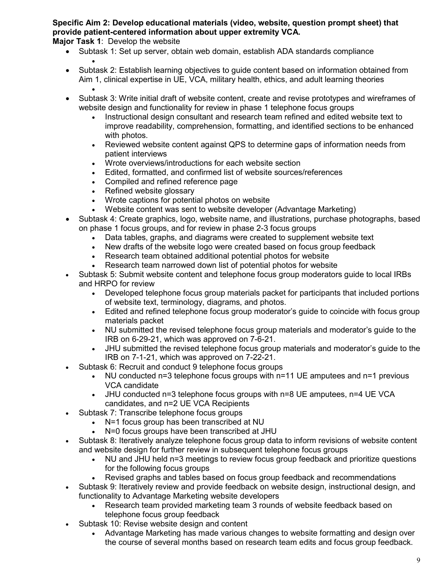**Specific Aim 2: Develop educational materials (video, website, question prompt sheet) that provide patient-centered information about upper extremity VCA.**

**Major Task 1**: Develop the website

- Subtask 1: Set up server, obtain web domain, establish ADA standards compliance •
- Subtask 2: Establish learning objectives to guide content based on information obtained from Aim 1, clinical expertise in UE, VCA, military health, ethics, and adult learning theories •
- Subtask 3: Write initial draft of website content, create and revise prototypes and wireframes of website design and functionality for review in phase 1 telephone focus groups
	- Instructional design consultant and research team refined and edited website text to improve readability, comprehension, formatting, and identified sections to be enhanced with photos.
	- Reviewed website content against QPS to determine gaps of information needs from patient interviews
	- Wrote overviews/introductions for each website section
	- Edited, formatted, and confirmed list of website sources/references
	- Compiled and refined reference page
	- Refined website glossary
	- Wrote captions for potential photos on website
	- Website content was sent to website developer (Advantage Marketing)
- Subtask 4: Create graphics, logo, website name, and illustrations, purchase photographs, based on phase 1 focus groups, and for review in phase 2-3 focus groups
	- Data tables, graphs, and diagrams were created to supplement website text
	- New drafts of the website logo were created based on focus group feedback
	- Research team obtained additional potential photos for website
	- Research team narrowed down list of potential photos for website
- Subtask 5: Submit website content and telephone focus group moderators guide to local IRBs and HRPO for review
	- Developed telephone focus group materials packet for participants that included portions of website text, terminology, diagrams, and photos.
	- Edited and refined telephone focus group moderator's guide to coincide with focus group materials packet
	- NU submitted the revised telephone focus group materials and moderator's guide to the IRB on 6-29-21, which was approved on 7-6-21.
	- JHU submitted the revised telephone focus group materials and moderator's guide to the IRB on 7-1-21, which was approved on 7-22-21.
- Subtask 6: Recruit and conduct 9 telephone focus groups
	- NU conducted n=3 telephone focus groups with n=11 UE amputees and n=1 previous VCA candidate
	- JHU conducted n=3 telephone focus groups with n=8 UE amputees, n=4 UE VCA candidates, and n=2 UE VCA Recipients
- Subtask 7: Transcribe telephone focus groups
	- N=1 focus group has been transcribed at NU
		- N=0 focus groups have been transcribed at JHU
- Subtask 8: Iteratively analyze telephone focus group data to inform revisions of website content and website design for further review in subsequent telephone focus groups
	- NU and JHU held n=3 meetings to review focus group feedback and prioritize questions for the following focus groups
	- Revised graphs and tables based on focus group feedback and recommendations
- Subtask 9: Iteratively review and provide feedback on website design, instructional design, and functionality to Advantage Marketing website developers
	- Research team provided marketing team 3 rounds of website feedback based on telephone focus group feedback
- Subtask 10: Revise website design and content
	- Advantage Marketing has made various changes to website formatting and design over the course of several months based on research team edits and focus group feedback.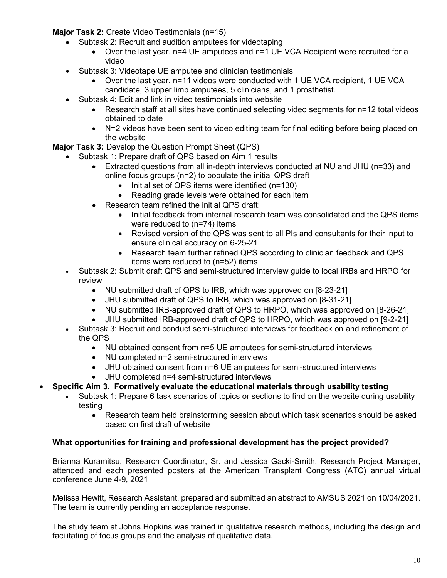**Major Task 2:** Create Video Testimonials (n=15)

- Subtask 2: Recruit and audition amputees for videotaping
	- Over the last year, n=4 UE amputees and n=1 UE VCA Recipient were recruited for a video
- Subtask 3: Videotape UE amputee and clinician testimonials
	- Over the last year, n=11 videos were conducted with 1 UE VCA recipient, 1 UE VCA candidate, 3 upper limb amputees, 5 clinicians, and 1 prosthetist.
- Subtask 4: Edit and link in video testimonials into website
	- Research staff at all sites have continued selecting video segments for n=12 total videos obtained to date
	- N=2 videos have been sent to video editing team for final editing before being placed on the website

**Major Task 3:** Develop the Question Prompt Sheet (QPS)

- Subtask 1: Prepare draft of QPS based on Aim 1 results
	- Extracted questions from all in-depth interviews conducted at NU and JHU (n=33) and online focus groups (n=2) to populate the initial QPS draft
		- Initial set of QPS items were identified (n=130)
		- Reading grade levels were obtained for each item
	- Research team refined the initial QPS draft:
		- Initial feedback from internal research team was consolidated and the QPS items were reduced to (n=74) items
		- Revised version of the QPS was sent to all PIs and consultants for their input to ensure clinical accuracy on 6-25-21.
		- Research team further refined QPS according to clinician feedback and QPS items were reduced to (n=52) items
- Subtask 2: Submit draft QPS and semi-structured interview guide to local IRBs and HRPO for review
	- NU submitted draft of QPS to IRB, which was approved on [8-23-21]
	- JHU submitted draft of QPS to IRB, which was approved on [8-31-21]
	- NU submitted IRB-approved draft of QPS to HRPO, which was approved on [8-26-21]
	- JHU submitted IRB-approved draft of QPS to HRPO, which was approved on [9-2-21]
- Subtask 3: Recruit and conduct semi-structured interviews for feedback on and refinement of the QPS
	- NU obtained consent from n=5 UE amputees for semi-structured interviews
	- NU completed n=2 semi-structured interviews
	- JHU obtained consent from n=6 UE amputees for semi-structured interviews
	- JHU completed n=4 semi-structured interviews
- **Specific Aim 3. Formatively evaluate the educational materials through usability testing**
	- Subtask 1: Prepare 6 task scenarios of topics or sections to find on the website during usability testing
		- Research team held brainstorming session about which task scenarios should be asked based on first draft of website

#### **What opportunities for training and professional development has the project provided?**

Brianna Kuramitsu, Research Coordinator, Sr. and Jessica Gacki-Smith, Research Project Manager, attended and each presented posters at the American Transplant Congress (ATC) annual virtual conference June 4-9, 2021

Melissa Hewitt, Research Assistant, prepared and submitted an abstract to AMSUS 2021 on 10/04/2021. The team is currently pending an acceptance response.

The study team at Johns Hopkins was trained in qualitative research methods, including the design and facilitating of focus groups and the analysis of qualitative data.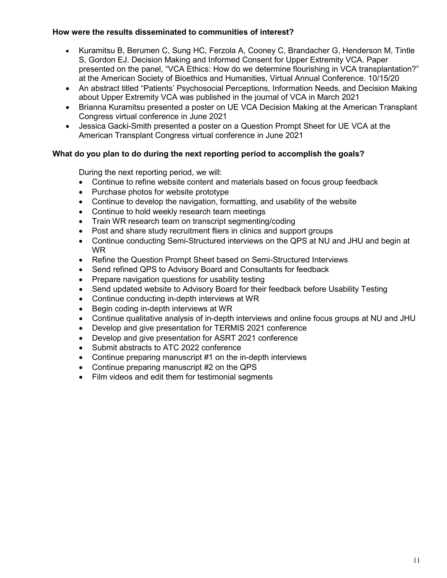### **How were the results disseminated to communities of interest?**

- Kuramitsu B, Berumen C, Sung HC, Ferzola A, Cooney C, Brandacher G, Henderson M, Tintle S, Gordon EJ. Decision Making and Informed Consent for Upper Extremity VCA. Paper presented on the panel, "VCA Ethics: How do we determine flourishing in VCA transplantation?" at the American Society of Bioethics and Humanities, Virtual Annual Conference. 10/15/20
- An abstract titled "Patients' Psychosocial Perceptions, Information Needs, and Decision Making about Upper Extremity VCA was published in the journal of VCA in March 2021
- Brianna Kuramitsu presented a poster on UE VCA Decision Making at the American Transplant Congress virtual conference in June 2021
- Jessica Gacki-Smith presented a poster on a Question Prompt Sheet for UE VCA at the American Transplant Congress virtual conference in June 2021

### **What do you plan to do during the next reporting period to accomplish the goals?**

During the next reporting period, we will:

- Continue to refine website content and materials based on focus group feedback
- Purchase photos for website prototype
- Continue to develop the navigation, formatting, and usability of the website
- Continue to hold weekly research team meetings
- Train WR research team on transcript segmenting/coding
- Post and share study recruitment fliers in clinics and support groups
- Continue conducting Semi-Structured interviews on the QPS at NU and JHU and begin at WR
- Refine the Question Prompt Sheet based on Semi-Structured Interviews
- Send refined QPS to Advisory Board and Consultants for feedback
- Prepare navigation questions for usability testing
- Send updated website to Advisory Board for their feedback before Usability Testing
- Continue conducting in-depth interviews at WR
- Begin coding in-depth interviews at WR
- Continue qualitative analysis of in-depth interviews and online focus groups at NU and JHU
- Develop and give presentation for TERMIS 2021 conference
- Develop and give presentation for ASRT 2021 conference
- Submit abstracts to ATC 2022 conference
- Continue preparing manuscript #1 on the in-depth interviews
- Continue preparing manuscript #2 on the QPS
- Film videos and edit them for testimonial segments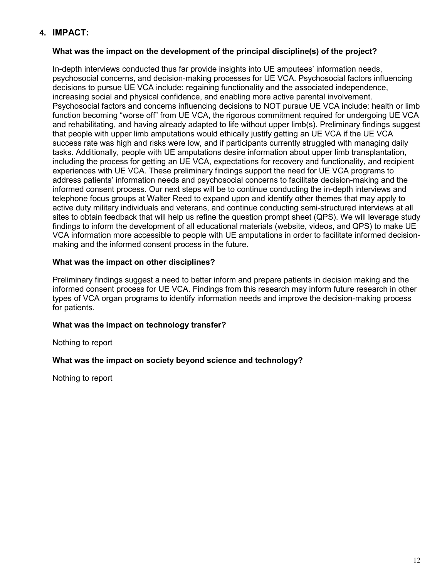# **4. IMPACT:**

### **What was the impact on the development of the principal discipline(s) of the project?**

In-depth interviews conducted thus far provide insights into UE amputees' information needs, psychosocial concerns, and decision-making processes for UE VCA. Psychosocial factors influencing decisions to pursue UE VCA include: regaining functionality and the associated independence, increasing social and physical confidence, and enabling more active parental involvement. Psychosocial factors and concerns influencing decisions to NOT pursue UE VCA include: health or limb function becoming "worse off" from UE VCA, the rigorous commitment required for undergoing UE VCA and rehabilitating, and having already adapted to life without upper limb(s). Preliminary findings suggest that people with upper limb amputations would ethically justify getting an UE VCA if the UE VCA success rate was high and risks were low, and if participants currently struggled with managing daily tasks. Additionally, people with UE amputations desire information about upper limb transplantation, including the process for getting an UE VCA, expectations for recovery and functionality, and recipient experiences with UE VCA. These preliminary findings support the need for UE VCA programs to address patients' information needs and psychosocial concerns to facilitate decision-making and the informed consent process. Our next steps will be to continue conducting the in-depth interviews and telephone focus groups at Walter Reed to expand upon and identify other themes that may apply to active duty military individuals and veterans, and continue conducting semi-structured interviews at all sites to obtain feedback that will help us refine the question prompt sheet (QPS). We will leverage study findings to inform the development of all educational materials (website, videos, and QPS) to make UE VCA information more accessible to people with UE amputations in order to facilitate informed decisionmaking and the informed consent process in the future.

### **What was the impact on other disciplines?**

Preliminary findings suggest a need to better inform and prepare patients in decision making and the informed consent process for UE VCA. Findings from this research may inform future research in other types of VCA organ programs to identify information needs and improve the decision-making process for patients.

### **What was the impact on technology transfer?**

Nothing to report

#### **What was the impact on society beyond science and technology?**

Nothing to report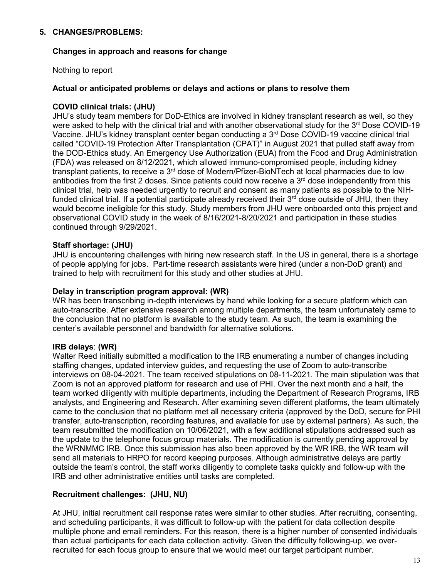### **5. CHANGES/PROBLEMS:**

#### **Changes in approach and reasons for change**

Nothing to report

#### **Actual or anticipated problems or delays and actions or plans to resolve them**

#### **COVID clinical trials: (JHU)**

JHU's study team members for DoD-Ethics are involved in kidney transplant research as well, so they were asked to help with the clinical trial and with another observational study for the  $3<sup>rd</sup>$  Dose COVID-19 Vaccine. JHU's kidney transplant center began conducting a 3rd Dose COVID-19 vaccine clinical trial called "COVID-19 Protection After Transplantation (CPAT)" in August 2021 that pulled staff away from the DOD-Ethics study. An Emergency Use Authorization (EUA) from the Food and Drug Administration (FDA) was released on 8/12/2021, which allowed immuno-compromised people, including kidney transplant patients, to receive a 3<sup>rd</sup> dose of Modern/Pfizer-BioNTech at local pharmacies due to low antibodies from the first 2 doses. Since patients could now receive a  $3<sup>rd</sup>$  dose independently from this clinical trial, help was needed urgently to recruit and consent as many patients as possible to the NIHfunded clinical trial. If a potential participate already received their  $3<sup>rd</sup>$  dose outside of JHU, then they would become ineligible for this study. Study members from JHU were onboarded onto this project and observational COVID study in the week of 8/16/2021-8/20/2021 and participation in these studies continued through 9/29/2021.

#### **Staff shortage: (JHU)**

JHU is encountering challenges with hiring new research staff. In the US in general, there is a shortage of people applying for jobs. Part-time research assistants were hired (under a non-DoD grant) and trained to help with recruitment for this study and other studies at JHU.

#### **Delay in transcription program approval: (WR)**

WR has been transcribing in-depth interviews by hand while looking for a secure platform which can auto-transcribe. After extensive research among multiple departments, the team unfortunately came to the conclusion that no platform is available to the study team. As such, the team is examining the center's available personnel and bandwidth for alternative solutions.

#### **IRB delays**: **(WR)**

Walter Reed initially submitted a modification to the IRB enumerating a number of changes including staffing changes, updated interview guides, and requesting the use of Zoom to auto-transcribe interviews on 08-04-2021. The team received stipulations on 08-11-2021. The main stipulation was that Zoom is not an approved platform for research and use of PHI. Over the next month and a half, the team worked diligently with multiple departments, including the Department of Research Programs, IRB analysts, and Engineering and Research. After examining seven different platforms, the team ultimately came to the conclusion that no platform met all necessary criteria (approved by the DoD, secure for PHI transfer, auto-transcription, recording features, and available for use by external partners). As such, the team resubmitted the modification on 10/06/2021, with a few additional stipulations addressed such as the update to the telephone focus group materials. The modification is currently pending approval by the WRNMMC IRB. Once this submission has also been approved by the WR IRB, the WR team will send all materials to HRPO for record keeping purposes. Although administrative delays are partly outside the team's control, the staff works diligently to complete tasks quickly and follow-up with the IRB and other administrative entities until tasks are completed.

#### **Recruitment challenges: (JHU, NU)**

At JHU, initial recruitment call response rates were similar to other studies. After recruiting, consenting, and scheduling participants, it was difficult to follow-up with the patient for data collection despite multiple phone and email reminders. For this reason, there is a higher number of consented individuals than actual participants for each data collection activity. Given the difficulty following-up, we overrecruited for each focus group to ensure that we would meet our target participant number.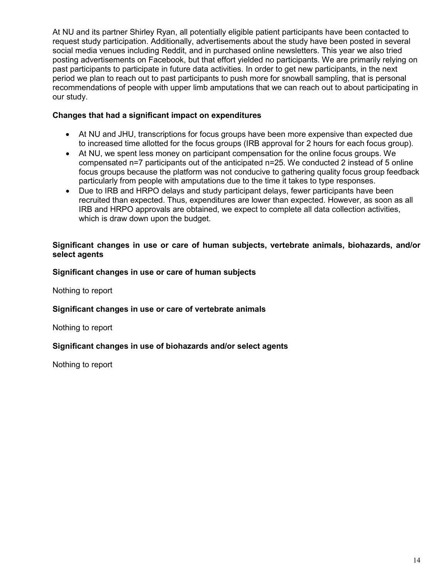At NU and its partner Shirley Ryan, all potentially eligible patient participants have been contacted to request study participation. Additionally, advertisements about the study have been posted in several social media venues including Reddit, and in purchased online newsletters. This year we also tried posting advertisements on Facebook, but that effort yielded no participants. We are primarily relying on past participants to participate in future data activities. In order to get new participants, in the next period we plan to reach out to past participants to push more for snowball sampling, that is personal recommendations of people with upper limb amputations that we can reach out to about participating in our study.

### **Changes that had a significant impact on expenditures**

- At NU and JHU, transcriptions for focus groups have been more expensive than expected due to increased time allotted for the focus groups (IRB approval for 2 hours for each focus group).
- At NU, we spent less money on participant compensation for the online focus groups. We compensated n=7 participants out of the anticipated n=25. We conducted 2 instead of 5 online focus groups because the platform was not conducive to gathering quality focus group feedback particularly from people with amputations due to the time it takes to type responses.
- Due to IRB and HRPO delays and study participant delays, fewer participants have been recruited than expected. Thus, expenditures are lower than expected. However, as soon as all IRB and HRPO approvals are obtained, we expect to complete all data collection activities, which is draw down upon the budget.

### **Significant changes in use or care of human subjects, vertebrate animals, biohazards, and/or select agents**

### **Significant changes in use or care of human subjects**

Nothing to report

#### **Significant changes in use or care of vertebrate animals**

Nothing to report

### **Significant changes in use of biohazards and/or select agents**

Nothing to report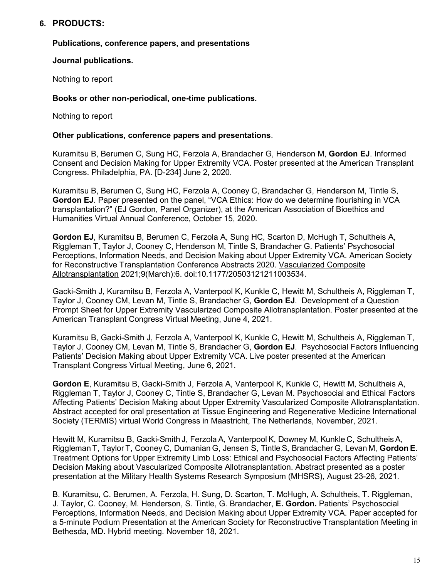# **6. PRODUCTS:**

#### **Publications, conference papers, and presentations**

#### **Journal publications.**

Nothing to report

#### **Books or other non-periodical, one-time publications.**

Nothing to report

#### **Other publications, conference papers and presentations**.

Kuramitsu B, Berumen C, Sung HC, Ferzola A, Brandacher G, Henderson M, **Gordon EJ**. Informed Consent and Decision Making for Upper Extremity VCA. Poster presented at the American Transplant Congress. Philadelphia, PA. [D-234] June 2, 2020.

Kuramitsu B, Berumen C, Sung HC, Ferzola A, Cooney C, Brandacher G, Henderson M, Tintle S, **Gordon EJ**. Paper presented on the panel, "VCA Ethics: How do we determine flourishing in VCA transplantation?" (EJ Gordon, Panel Organizer), at the American Association of Bioethics and Humanities Virtual Annual Conference, October 15, 2020.

**Gordon EJ**, Kuramitsu B, Berumen C, Ferzola A, Sung HC, Scarton D, McHugh T, Schultheis A, Riggleman T, Taylor J, Cooney C, Henderson M, Tintle S, Brandacher G. Patients' Psychosocial Perceptions, Information Needs, and Decision Making about Upper Extremity VCA. American Society for Reconstructive Transplantation Conference Abstracts 2020. Vascularized Composite Allotransplantation 2021;9(March):6. doi:10.1177/20503121211003534.

Gacki-Smith J, Kuramitsu B, Ferzola A, Vanterpool K, Kunkle C, Hewitt M, Schultheis A, Riggleman T, Taylor J, Cooney CM, Levan M, Tintle S, Brandacher G, **Gordon EJ**. Development of a Question Prompt Sheet for Upper Extremity Vascularized Composite Allotransplantation. Poster presented at the American Transplant Congress Virtual Meeting, June 4, 2021.

Kuramitsu B, Gacki-Smith J, Ferzola A, Vanterpool K, Kunkle C, Hewitt M, Schultheis A, Riggleman T, Taylor J, Cooney CM, Levan M, Tintle S, Brandacher G, **Gordon EJ**. Psychosocial Factors Influencing Patients' Decision Making about Upper Extremity VCA. Live poster presented at the American Transplant Congress Virtual Meeting, June 6, 2021.

**Gordon E**, Kuramitsu B, Gacki-Smith J, Ferzola A, Vanterpool K, Kunkle C, Hewitt M, Schultheis A, Riggleman T, Taylor J, Cooney C, Tintle S, Brandacher G, Levan M. Psychosocial and Ethical Factors Affecting Patients' Decision Making about Upper Extremity Vascularized Composite Allotransplantation. Abstract accepted for oral presentation at Tissue Engineering and Regenerative Medicine International Society (TERMIS) virtual World Congress in Maastricht, The Netherlands, November, 2021.

Hewitt M, Kuramitsu B, Gacki-Smith J, Ferzola A, Vanterpool K, Downey M, Kunkle C, SchultheisA, Riggleman T, Taylor T, Cooney C, Dumanian G, Jensen S, Tintle S, Brandacher G, Levan M, **Gordon E**. Treatment Options for Upper Extremity Limb Loss: Ethical and Psychosocial Factors Affecting Patients' Decision Making about Vascularized Composite Allotransplantation. Abstract presented as a poster presentation at the Military Health Systems Research Symposium (MHSRS), August 23-26, 2021.

B. Kuramitsu, C. Berumen, A. Ferzola, H. Sung, D. Scarton, T. McHugh, A. Schultheis, T. Riggleman, J. Taylor, C. Cooney, M. Henderson, S. Tintle, G. Brandacher, **E. Gordon.** Patients' Psychosocial Perceptions, Information Needs, and Decision Making about Upper Extremity VCA. Paper accepted for a 5-minute Podium Presentation at the American Society for Reconstructive Transplantation Meeting in Bethesda, MD. Hybrid meeting. November 18, 2021.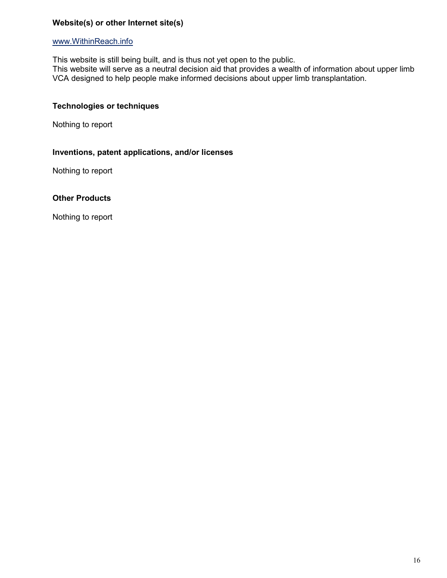### **Website(s) or other Internet site(s)**

#### www.WithinReach.info

This website is still being built, and is thus not yet open to the public.

This website will serve as a neutral decision aid that provides a wealth of information about upper limb VCA designed to help people make informed decisions about upper limb transplantation.

#### **Technologies or techniques**

Nothing to report

### **Inventions, patent applications, and/or licenses**

Nothing to report

#### **Other Products**

Nothing to report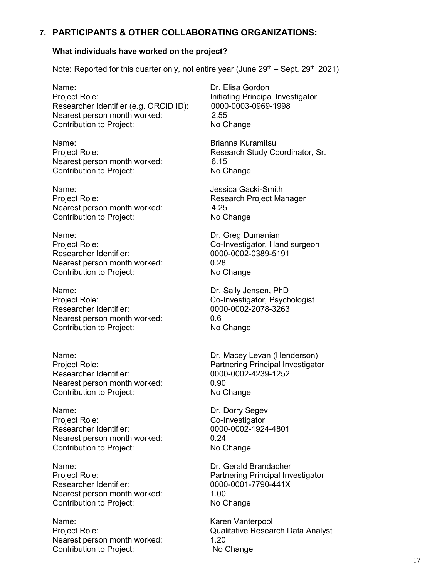## **7. PARTICIPANTS & OTHER COLLABORATING ORGANIZATIONS:**

#### **What individuals have worked on the project?**

Note: Reported for this quarter only, not entire year (June  $29<sup>th</sup>$  – Sept.  $29<sup>th</sup>$  2021)

Name: **Name: Dr. Elisa Gordon** Project Role: Initiating Principal Investigator Researcher Identifier (e.g. ORCID ID): 0000-0003-0969-1998 Nearest person month worked: 2.55 Contribution to Project: No Change

Name: Brianna Kuramitsu Nearest person month worked: 6.15 Contribution to Project: No Change

Name: Version Communication of the Magnetic Section Association of the Jessica Gacki-Smith Project Role: Research Project Manager Nearest person month worked: 4.25<br>
Contribution to Project: No Change Contribution to Project:

Name: **Name: Name: Dr. Greg Dumanian** Project Role: Co-Investigator, Hand surgeon Researcher Identifier: 0000-0002-0389-5191 Nearest person month worked: 0.28 Contribution to Project: No Change

Name: Dr. Sally Jensen, PhD Project Role:<br>
Researcher Identifier:<br>
Co-Investigator, Psychologist<br>
0000-0002-2078-3263 Researcher Identifier: Nearest person month worked: 0.6 Contribution to Project: No Change

Name: Dr. Macey Levan (Henderson) Researcher Identifier: 0000-0002-4239-1252 Nearest person month worked: 0.90 Contribution to Project: No Change

Name: Name: Name: Dr. Dorry Segev Project Role: Co-Investigator Researcher Identifier: 0000-0002-1924-4801 Nearest person month worked: 0.24 Contribution to Project: No Change

Name: Dr. Gerald Brandacher Researcher Identifier: 0000-0001-7790-441X Nearest person month worked: 1.00<br>
Contribution to Project: No Change Contribution to Project:

Name: Name: Karen Vanterpool Nearest person month worked: 1.20 Contribution to Project: No Change

Project Role: Research Study Coordinator, Sr.

Project Role: Partnering Principal Investigator

Project Role: Partnering Principal Investigator

Project Role: Qualitative Research Data Analyst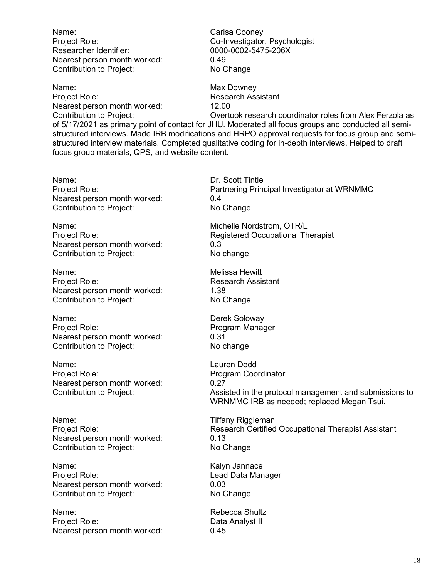Name: Carisa Cooney Project Role: Co-Investigator, Psychologist Researcher Identifier: 0000-0002-5475-206X Nearest person month worked: 0.49 Contribution to Project: No Change

Name: Name: Name: Name: Name: Name: Name: Name: Name of Name of Name of Name of Name of Name of Name of Name o Project Role: Research Assistant Nearest person month worked: 12.00

Contribution to Project: Overtook research coordinator roles from Alex Ferzola as of 5/17/2021 as primary point of contact for JHU. Moderated all focus groups and conducted all semistructured interviews. Made IRB modifications and HRPO approval requests for focus group and semistructured interview materials. Completed qualitative coding for in-depth interviews. Helped to draft focus group materials, QPS, and website content.

Name: Dr. Scott Tintle<br>Project Role: Entertainment of the Partnering Prin Nearest person month worked: 0.4 0.4 Contribution to Project: 0.4 Contribution to Project:

Name: Name: Name: Name: Name: Name: Name: Name: Name: Name: Name: Name: Name: Name: Name: Name: Name: Name: Name: Name: Name: Name: Name: Name: Name: Name: Name: Name: Name: Name: Name: Name: Name: Name: Name: Name: Name: Nearest person month worked: 0.3 Contribution to Project: No change

Name: Melissa Hewitt Project Role: **Research Assistant** Nearest person month worked: 1.38 Contribution to Project: No Change

Name: Derek Soloway Project Role: Program Manager Nearest person month worked: 0.31<br>Contribution to Project: No change Contribution to Project:

Name: Lauren Dodd Project Role: Program Coordinator Nearest person month worked: 0.27

Name: Name: Tiffany Riggleman Nearest person month worked: 0.13 Contribution to Project: No Change

Name: Name: Kalyn Jannace<br>Project Role: Name: Name: Contract Contract Contract Contract Contract Contract Contract Contract Contract Co Nearest person month worked: 0.03<br>
Contribution to Project: No Change Contribution to Project:

Name: Name: Rebecca Shultz Project Role: Data Analyst II Nearest person month worked: 0.45

Partnering Principal Investigator at WRNMMC

Project Role: The Registered Occupational Therapist

Contribution to Project: Assisted in the protocol management and submissions to WRNMMC IRB as needed; replaced Megan Tsui.

Project Role: **Research Certified Occupational Therapist Assistant** 

Lead Data Manager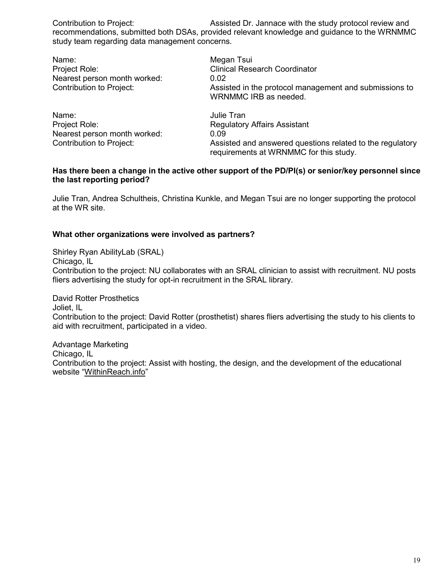Contribution to Project: Assisted Dr. Jannace with the study protocol review and recommendations, submitted both DSAs, provided relevant knowledge and guidance to the WRNMMC study team regarding data management concerns.

Name: Name: Name: Negan Tsui<br>Project Role: Name: Name: Name: Name: Name: Name: Name: Name: Name: Name: Name: N **Clinical Research Coordinator** Nearest person month worked: 0.02 Contribution to Project: Assisted in the protocol management and submissions to WRNMMC IRB as needed. Name: University of the University of the University of the University of the University of the University of the University of the University of the University of the University of the University of the University of the Project Role: Regulatory Affairs Assistant Nearest person month worked: 0.09

Contribution to Project: Assisted and answered questions related to the regulatory requirements at WRNMMC for this study.

#### **Has there been a change in the active other support of the PD/PI(s) or senior/key personnel since the last reporting period?**

Julie Tran, Andrea Schultheis, Christina Kunkle, and Megan Tsui are no longer supporting the protocol at the WR site.

#### **What other organizations were involved as partners?**

Shirley Ryan AbilityLab (SRAL) Chicago, IL Contribution to the project: NU collaborates with an SRAL clinician to assist with recruitment. NU posts fliers advertising the study for opt-in recruitment in the SRAL library.

David Rotter Prosthetics Joliet, IL Contribution to the project: David Rotter (prosthetist) shares fliers advertising the study to his clients to aid with recruitment, participated in a video.

Advantage Marketing Chicago, IL Contribution to the project: Assist with hosting, the design, and the development of the educational website "WithinReach.info"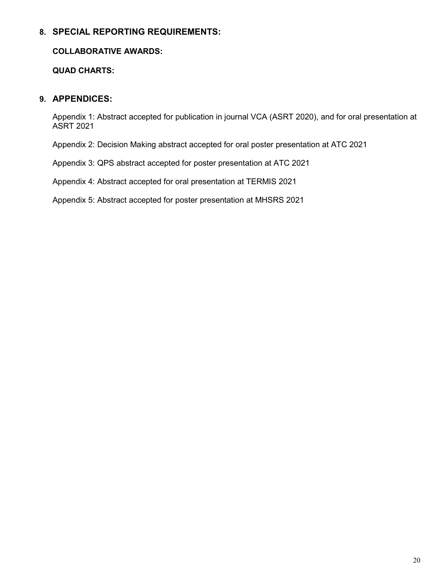# **8. SPECIAL REPORTING REQUIREMENTS:**

### **COLLABORATIVE AWARDS:**

**QUAD CHARTS:**

# **9. APPENDICES:**

Appendix 1: Abstract accepted for publication in journal VCA (ASRT 2020), and for oral presentation at ASRT 2021

Appendix 2: Decision Making abstract accepted for oral poster presentation at ATC 2021

Appendix 3: QPS abstract accepted for poster presentation at ATC 2021

Appendix 4: Abstract accepted for oral presentation at TERMIS 2021

Appendix 5: Abstract accepted for poster presentation at MHSRS 2021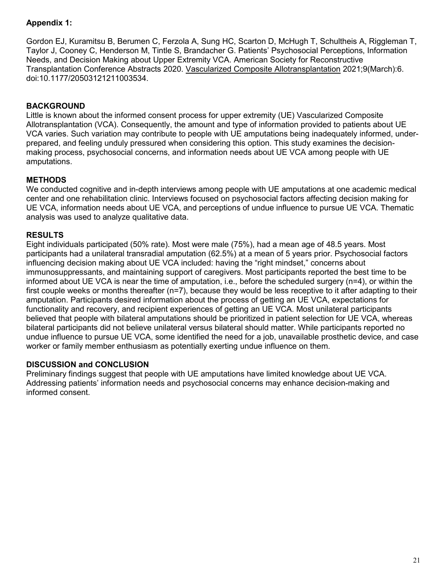# **Appendix 1:**

Gordon EJ, Kuramitsu B, Berumen C, Ferzola A, Sung HC, Scarton D, McHugh T, Schultheis A, Riggleman T, Taylor J, Cooney C, Henderson M, Tintle S, Brandacher G. Patients' Psychosocial Perceptions, Information Needs, and Decision Making about Upper Extremity VCA. American Society for Reconstructive Transplantation Conference Abstracts 2020. Vascularized Composite Allotransplantation 2021;9(March):6. doi:10.1177/20503121211003534.

## **BACKGROUND**

Little is known about the informed consent process for upper extremity (UE) Vascularized Composite Allotransplantation (VCA). Consequently, the amount and type of information provided to patients about UE VCA varies. Such variation may contribute to people with UE amputations being inadequately informed, underprepared, and feeling unduly pressured when considering this option. This study examines the decisionmaking process, psychosocial concerns, and information needs about UE VCA among people with UE amputations.

### **METHODS**

We conducted cognitive and in-depth interviews among people with UE amputations at one academic medical center and one rehabilitation clinic. Interviews focused on psychosocial factors affecting decision making for UE VCA, information needs about UE VCA, and perceptions of undue influence to pursue UE VCA. Thematic analysis was used to analyze qualitative data.

### **RESULTS**

Eight individuals participated (50% rate). Most were male (75%), had a mean age of 48.5 years. Most participants had a unilateral transradial amputation (62.5%) at a mean of 5 years prior. Psychosocial factors influencing decision making about UE VCA included: having the "right mindset," concerns about immunosuppressants, and maintaining support of caregivers. Most participants reported the best time to be informed about UE VCA is near the time of amputation, i.e., before the scheduled surgery (n=4), or within the first couple weeks or months thereafter (n=7), because they would be less receptive to it after adapting to their amputation. Participants desired information about the process of getting an UE VCA, expectations for functionality and recovery, and recipient experiences of getting an UE VCA. Most unilateral participants believed that people with bilateral amputations should be prioritized in patient selection for UE VCA, whereas bilateral participants did not believe unilateral versus bilateral should matter. While participants reported no undue influence to pursue UE VCA, some identified the need for a job, unavailable prosthetic device, and case worker or family member enthusiasm as potentially exerting undue influence on them.

### **DISCUSSION and CONCLUSION**

Preliminary findings suggest that people with UE amputations have limited knowledge about UE VCA. Addressing patients' information needs and psychosocial concerns may enhance decision-making and informed consent.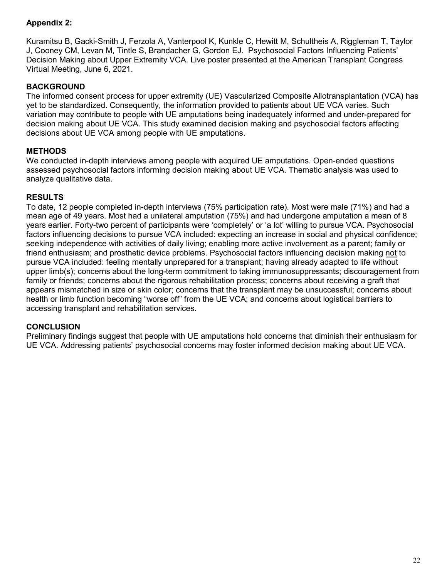# **Appendix 2:**

Kuramitsu B, Gacki-Smith J, Ferzola A, Vanterpool K, Kunkle C, Hewitt M, Schultheis A, Riggleman T, Taylor J, Cooney CM, Levan M, Tintle S, Brandacher G, Gordon EJ. Psychosocial Factors Influencing Patients' Decision Making about Upper Extremity VCA. Live poster presented at the American Transplant Congress Virtual Meeting, June 6, 2021.

### **BACKGROUND**

The informed consent process for upper extremity (UE) Vascularized Composite Allotransplantation (VCA) has yet to be standardized. Consequently, the information provided to patients about UE VCA varies. Such variation may contribute to people with UE amputations being inadequately informed and under-prepared for decision making about UE VCA. This study examined decision making and psychosocial factors affecting decisions about UE VCA among people with UE amputations.

# **METHODS**

We conducted in-depth interviews among people with acquired UE amputations. Open-ended questions assessed psychosocial factors informing decision making about UE VCA. Thematic analysis was used to analyze qualitative data.

### **RESULTS**

To date, 12 people completed in-depth interviews (75% participation rate). Most were male (71%) and had a mean age of 49 years. Most had a unilateral amputation (75%) and had undergone amputation a mean of 8 years earlier. Forty-two percent of participants were 'completely' or 'a lot' willing to pursue VCA. Psychosocial factors influencing decisions to pursue VCA included: expecting an increase in social and physical confidence; seeking independence with activities of daily living; enabling more active involvement as a parent; family or friend enthusiasm; and prosthetic device problems. Psychosocial factors influencing decision making not to pursue VCA included: feeling mentally unprepared for a transplant; having already adapted to life without upper limb(s); concerns about the long-term commitment to taking immunosuppressants; discouragement from family or friends; concerns about the rigorous rehabilitation process; concerns about receiving a graft that appears mismatched in size or skin color; concerns that the transplant may be unsuccessful; concerns about health or limb function becoming "worse off" from the UE VCA; and concerns about logistical barriers to accessing transplant and rehabilitation services.

### **CONCLUSION**

Preliminary findings suggest that people with UE amputations hold concerns that diminish their enthusiasm for UE VCA. Addressing patients' psychosocial concerns may foster informed decision making about UE VCA.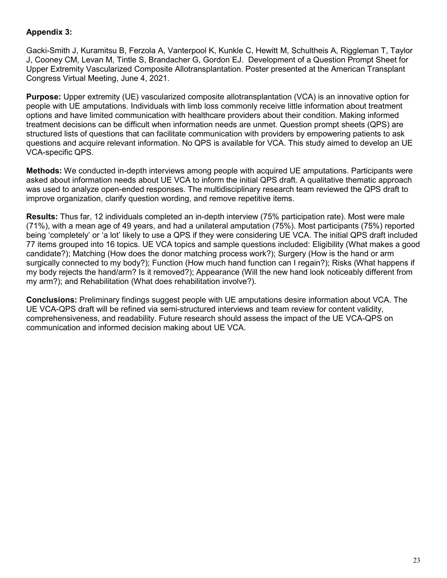### **Appendix 3:**

Gacki-Smith J, Kuramitsu B, Ferzola A, Vanterpool K, Kunkle C, Hewitt M, Schultheis A, Riggleman T, Taylor J, Cooney CM, Levan M, Tintle S, Brandacher G, Gordon EJ. Development of a Question Prompt Sheet for Upper Extremity Vascularized Composite Allotransplantation. Poster presented at the American Transplant Congress Virtual Meeting, June 4, 2021.

**Purpose:** Upper extremity (UE) vascularized composite allotransplantation (VCA) is an innovative option for people with UE amputations. Individuals with limb loss commonly receive little information about treatment options and have limited communication with healthcare providers about their condition. Making informed treatment decisions can be difficult when information needs are unmet. Question prompt sheets (QPS) are structured lists of questions that can facilitate communication with providers by empowering patients to ask questions and acquire relevant information. No QPS is available for VCA. This study aimed to develop an UE VCA-specific QPS.

**Methods:** We conducted in-depth interviews among people with acquired UE amputations. Participants were asked about information needs about UE VCA to inform the initial QPS draft. A qualitative thematic approach was used to analyze open-ended responses. The multidisciplinary research team reviewed the QPS draft to improve organization, clarify question wording, and remove repetitive items.

**Results:** Thus far, 12 individuals completed an in-depth interview (75% participation rate). Most were male (71%), with a mean age of 49 years, and had a unilateral amputation (75%). Most participants (75%) reported being 'completely' or 'a lot' likely to use a QPS if they were considering UE VCA. The initial QPS draft included 77 items grouped into 16 topics. UE VCA topics and sample questions included: Eligibility (What makes a good candidate?); Matching (How does the donor matching process work?); Surgery (How is the hand or arm surgically connected to my body?); Function (How much hand function can I regain?); Risks (What happens if my body rejects the hand/arm? Is it removed?); Appearance (Will the new hand look noticeably different from my arm?); and Rehabilitation (What does rehabilitation involve?).

**Conclusions:** Preliminary findings suggest people with UE amputations desire information about VCA. The UE VCA-QPS draft will be refined via semi-structured interviews and team review for content validity, comprehensiveness, and readability. Future research should assess the impact of the UE VCA-QPS on communication and informed decision making about UE VCA.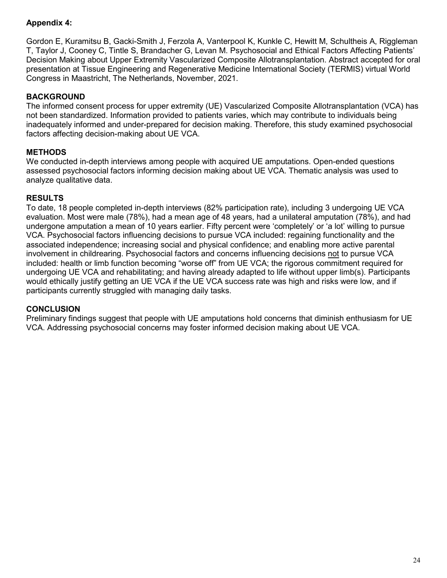## **Appendix 4:**

Gordon E, Kuramitsu B, Gacki-Smith J, Ferzola A, Vanterpool K, Kunkle C, Hewitt M, Schultheis A, Riggleman T, Taylor J, Cooney C, Tintle S, Brandacher G, Levan M. Psychosocial and Ethical Factors Affecting Patients' Decision Making about Upper Extremity Vascularized Composite Allotransplantation. Abstract accepted for oral presentation at Tissue Engineering and Regenerative Medicine International Society (TERMIS) virtual World Congress in Maastricht, The Netherlands, November, 2021.

## **BACKGROUND**

The informed consent process for upper extremity (UE) Vascularized Composite Allotransplantation (VCA) has not been standardized. Information provided to patients varies, which may contribute to individuals being inadequately informed and under-prepared for decision making. Therefore, this study examined psychosocial factors affecting decision-making about UE VCA.

# **METHODS**

We conducted in-depth interviews among people with acquired UE amputations. Open-ended questions assessed psychosocial factors informing decision making about UE VCA. Thematic analysis was used to analyze qualitative data.

### **RESULTS**

To date, 18 people completed in-depth interviews (82% participation rate), including 3 undergoing UE VCA evaluation. Most were male (78%), had a mean age of 48 years, had a unilateral amputation (78%), and had undergone amputation a mean of 10 years earlier. Fifty percent were 'completely' or 'a lot' willing to pursue VCA. Psychosocial factors influencing decisions to pursue VCA included: regaining functionality and the associated independence; increasing social and physical confidence; and enabling more active parental involvement in childrearing. Psychosocial factors and concerns influencing decisions not to pursue VCA included: health or limb function becoming "worse off" from UE VCA; the rigorous commitment required for undergoing UE VCA and rehabilitating; and having already adapted to life without upper limb(s). Participants would ethically justify getting an UE VCA if the UE VCA success rate was high and risks were low, and if participants currently struggled with managing daily tasks.

### **CONCLUSION**

Preliminary findings suggest that people with UE amputations hold concerns that diminish enthusiasm for UE VCA. Addressing psychosocial concerns may foster informed decision making about UE VCA.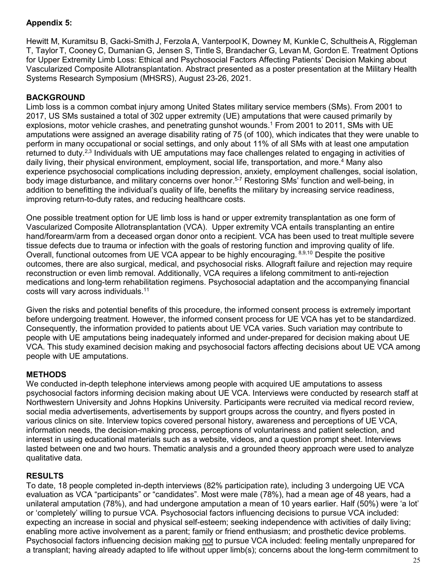# **Appendix 5:**

Hewitt M, Kuramitsu B, Gacki-Smith J, Ferzola A, Vanterpool K, Downey M, Kunkle C, SchultheisA, Riggleman T, Taylor T, Cooney C, Dumanian G, Jensen S, Tintle S, Brandacher G, Levan M, Gordon E. Treatment Options for Upper Extremity Limb Loss: Ethical and Psychosocial Factors Affecting Patients' Decision Making about Vascularized Composite Allotransplantation. Abstract presented as a poster presentation at the Military Health Systems Research Symposium (MHSRS), August 23-26, 2021.

### **BACKGROUND**

Limb loss is a common combat injury among United States military service members (SMs). From 2001 to 2017, US SMs sustained a total of 302 upper extremity (UE) amputations that were caused primarily by explosions, motor vehicle crashes, and penetrating gunshot wounds.<sup>1</sup> From 2001 to 2011, SMs with UE amputations were assigned an average disability rating of 75 (of 100), which indicates that they were unable to perform in many occupational or social settings, and only about 11% of all SMs with at least one amputation returned to duty.<sup>2,3</sup> Individuals with UE amputations may face challenges related to engaging in activities of daily living, their physical environment, employment, social life, transportation, and more.4 Many also experience psychosocial complications including depression, anxiety, employment challenges, social isolation, body image disturbance, and military concerns over honor.<sup>5-7</sup> Restoring SMs<sup>7</sup> function and well-being, in addition to benefitting the individual's quality of life, benefits the military by increasing service readiness, improving return-to-duty rates, and reducing healthcare costs.

One possible treatment option for UE limb loss is hand or upper extremity transplantation as one form of Vascularized Composite Allotransplantation (VCA). Upper extremity VCA entails transplanting an entire hand/forearm/arm from a deceased organ donor onto a recipient. VCA has been used to treat multiple severe tissue defects due to trauma or infection with the goals of restoring function and improving quality of life. Overall, functional outcomes from UE VCA appear to be highly encouraging. 8,9,10 Despite the positive outcomes, there are also surgical, medical, and psychosocial risks. Allograft failure and rejection may require reconstruction or even limb removal. Additionally, VCA requires a lifelong commitment to anti-rejection medications and long-term rehabilitation regimens. Psychosocial adaptation and the accompanying financial costs will vary across individuals.11

Given the risks and potential benefits of this procedure, the informed consent process is extremely important before undergoing treatment. However, the informed consent process for UE VCA has yet to be standardized. Consequently, the information provided to patients about UE VCA varies. Such variation may contribute to people with UE amputations being inadequately informed and under-prepared for decision making about UE VCA. This study examined decision making and psychosocial factors affecting decisions about UE VCA among people with UE amputations.

### **METHODS**

We conducted in-depth telephone interviews among people with acquired UE amputations to assess psychosocial factors informing decision making about UE VCA. Interviews were conducted by research staff at Northwestern University and Johns Hopkins University. Participants were recruited via medical record review, social media advertisements, advertisements by support groups across the country, and flyers posted in various clinics on site. Interview topics covered personal history, awareness and perceptions of UE VCA, information needs, the decision-making process, perceptions of voluntariness and patient selection, and interest in using educational materials such as a website, videos, and a question prompt sheet. Interviews lasted between one and two hours. Thematic analysis and a grounded theory approach were used to analyze qualitative data.

### **RESULTS**

To date, 18 people completed in-depth interviews (82% participation rate), including 3 undergoing UE VCA evaluation as VCA "participants" or "candidates". Most were male (78%), had a mean age of 48 years, had a unilateral amputation (78%), and had undergone amputation a mean of 10 years earlier. Half (50%) were 'a lot' or 'completely' willing to pursue VCA. Psychosocial factors influencing decisions to pursue VCA included: expecting an increase in social and physical self-esteem; seeking independence with activities of daily living; enabling more active involvement as a parent; family or friend enthusiasm; and prosthetic device problems. Psychosocial factors influencing decision making not to pursue VCA included: feeling mentally unprepared for a transplant; having already adapted to life without upper limb(s); concerns about the long-term commitment to